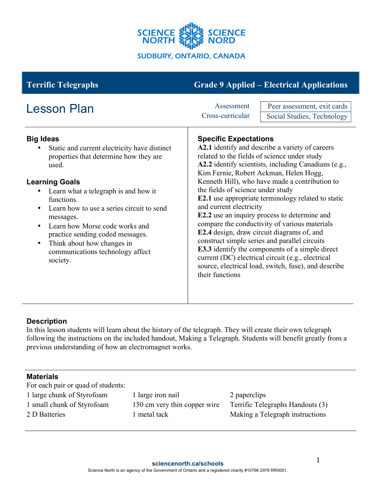

| <b>Terrific Telegraphs</b>                                                                                                                                                                                                                                                                                                                                                                                                                                           | <b>Grade 9 Applied – Electrical Applications</b>                                                                                                                                                                                                                                                                                                                                                                                                                                                                                                                                                                                                                                                                                                                                                    |
|----------------------------------------------------------------------------------------------------------------------------------------------------------------------------------------------------------------------------------------------------------------------------------------------------------------------------------------------------------------------------------------------------------------------------------------------------------------------|-----------------------------------------------------------------------------------------------------------------------------------------------------------------------------------------------------------------------------------------------------------------------------------------------------------------------------------------------------------------------------------------------------------------------------------------------------------------------------------------------------------------------------------------------------------------------------------------------------------------------------------------------------------------------------------------------------------------------------------------------------------------------------------------------------|
| <b>Lesson Plan</b>                                                                                                                                                                                                                                                                                                                                                                                                                                                   | Peer assessment, exit cards<br>Assessment<br>Cross-curricular<br>Social Studies, Technology                                                                                                                                                                                                                                                                                                                                                                                                                                                                                                                                                                                                                                                                                                         |
| <b>Big Ideas</b><br>Static and current electricity have distinct<br>properties that determine how they are<br>used.<br><b>Learning Goals</b><br>Learn what a telegraph is and how it<br>$\bullet$<br>functions.<br>Learn how to use a series circuit to send<br>$\bullet$<br>messages.<br>Learn how Morse code works and<br>$\bullet$<br>practice sending coded messages.<br>Think about how changes in<br>$\bullet$<br>communications technology affect<br>society. | <b>Specific Expectations</b><br>A2.1 identify and describe a variety of careers<br>related to the fields of science under study<br>A2.2 identify scientists, including Canadians (e.g.,<br>Kim Fernie, Robert Ackman, Helen Hogg,<br>Kenneth Hill), who have made a contribution to<br>the fields of science under study<br>E2.1 use appropriate terminology related to static<br>and current electricity<br>E2.2 use an inquiry process to determine and<br>compare the conductivity of various materials<br>E2.4 design, draw circuit diagrams of, and<br>construct simple series and parallel circuits<br><b>E3.3</b> identify the components of a simple direct<br>current (DC) electrical circuit (e.g., electrical<br>source, electrical load, switch, fuse), and describe<br>their functions |

# **Description**

In this lesson students will learn about the history of the telegraph. They will create their own telegraph following the instructions on the included handout, Making a Telegraph. Students will benefit greatly from a previous understanding of how an electromagnet works.

#### **Materials**

For each pair or quad of students:

- 
- 
- 

1 large chunk of Styrofoam 1 large iron nail 2 paperclips

1 small chunk of Styrofoam 150 cm very thin copper wire Terrific Telegraphs Handouts (3) 2 D Batteries 1 metal tack Making a Telegraph instructions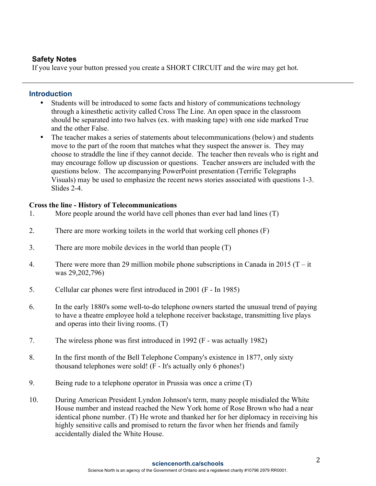### **Safety Notes**

If you leave your button pressed you create a SHORT CIRCUIT and the wire may get hot.

### **Introduction**

- Students will be introduced to some facts and history of communications technology through a kinesthetic activity called Cross The Line. An open space in the classroom should be separated into two halves (ex. with masking tape) with one side marked True and the other False.
- The teacher makes a series of statements about telecommunications (below) and students move to the part of the room that matches what they suspect the answer is. They may choose to straddle the line if they cannot decide. The teacher then reveals who is right and may encourage follow up discussion or questions. Teacher answers are included with the questions below. The accompanying PowerPoint presentation (Terrific Telegraphs Visuals) may be used to emphasize the recent news stories associated with questions 1-3. Slides 2-4.

# **Cross the line - History of Telecommunications**

- 1. More people around the world have cell phones than ever had land lines (T)
- 2. There are more working toilets in the world that working cell phones (F)
- 3. There are more mobile devices in the world than people (T)
- 4. There were more than 29 million mobile phone subscriptions in Canada in 2015 ( $T it$ ) was 29,202,796)
- 5. Cellular car phones were first introduced in 2001 (F In 1985)
- 6. In the early 1880's some well-to-do telephone owners started the unusual trend of paying to have a theatre employee hold a telephone receiver backstage, transmitting live plays and operas into their living rooms. (T)
- 7. The wireless phone was first introduced in 1992 (F was actually 1982)
- 8. In the first month of the Bell Telephone Company's existence in 1877, only sixty thousand telephones were sold! (F - It's actually only 6 phones!)
- 9. Being rude to a telephone operator in Prussia was once a crime (T)
- 10. During American President Lyndon Johnson's term, many people misdialed the White House number and instead reached the New York home of Rose Brown who had a near identical phone number. (T) He wrote and thanked her for her diplomacy in receiving his highly sensitive calls and promised to return the favor when her friends and family accidentally dialed the White House.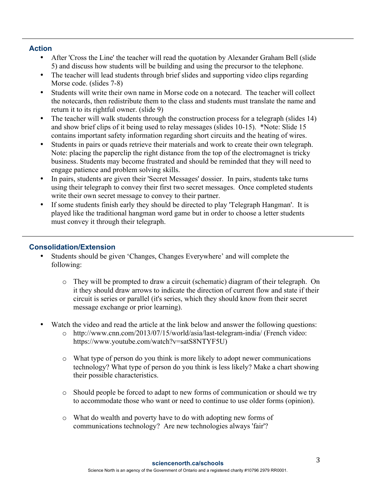# **Action**

- After 'Cross the Line' the teacher will read the quotation by Alexander Graham Bell (slide 5) and discuss how students will be building and using the precursor to the telephone.
- The teacher will lead students through brief slides and supporting video clips regarding Morse code. (slides 7-8)
- Students will write their own name in Morse code on a notecard. The teacher will collect the notecards, then redistribute them to the class and students must translate the name and return it to its rightful owner. (slide 9)
- The teacher will walk students through the construction process for a telegraph (slides 14) and show brief clips of it being used to relay messages (slides 10-15). \*Note: Slide 15 contains important safety information regarding short circuits and the heating of wires.
- Students in pairs or quads retrieve their materials and work to create their own telegraph. Note: placing the paperclip the right distance from the top of the electromagnet is tricky business. Students may become frustrated and should be reminded that they will need to engage patience and problem solving skills.
- In pairs, students are given their 'Secret Messages' dossier. In pairs, students take turns using their telegraph to convey their first two secret messages. Once completed students write their own secret message to convey to their partner.
- If some students finish early they should be directed to play 'Telegraph Hangman'. It is played like the traditional hangman word game but in order to choose a letter students must convey it through their telegraph.

# **Consolidation/Extension**

- Students should be given 'Changes, Changes Everywhere' and will complete the following:
	- o They will be prompted to draw a circuit (schematic) diagram of their telegraph. On it they should draw arrows to indicate the direction of current flow and state if their circuit is series or parallel (it's series, which they should know from their secret message exchange or prior learning).
- Watch the video and read the article at the link below and answer the following questions:
	- o http://www.cnn.com/2013/07/15/world/asia/last-telegram-india/ (French video: https://www.youtube.com/watch?v=satS8NTYF5U)
	- o What type of person do you think is more likely to adopt newer communications technology? What type of person do you think is less likely? Make a chart showing their possible characteristics.
	- o Should people be forced to adapt to new forms of communication or should we try to accommodate those who want or need to continue to use older forms (opinion).
	- o What do wealth and poverty have to do with adopting new forms of communications technology? Are new technologies always 'fair'?